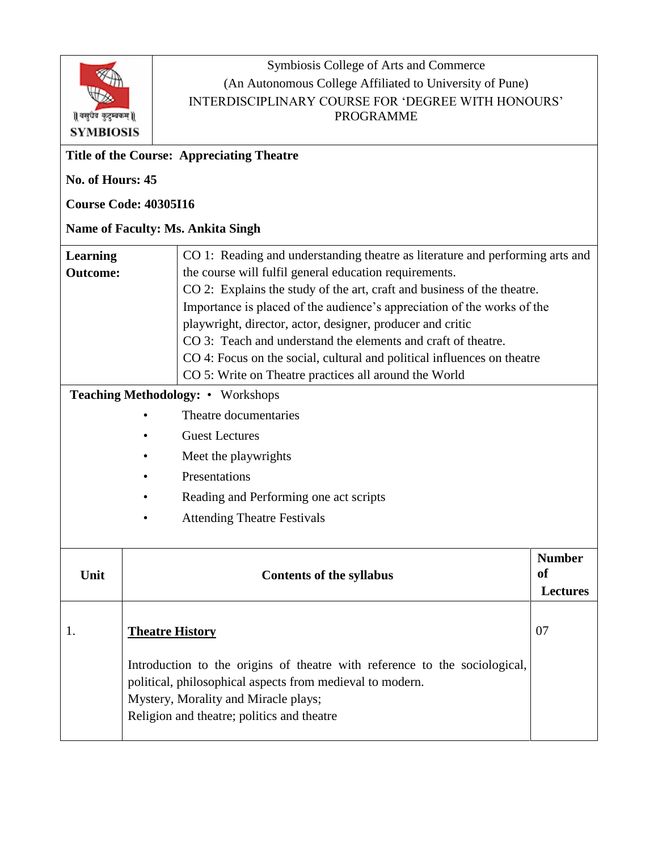

Symbiosis College of Arts and Commerce (An Autonomous College Affiliated to University of Pune) INTERDISCIPLINARY COURSE FOR 'DEGREE WITH HONOURS' PROGRAMME

| <b>Title of the Course: Appreciating Theatre</b> |                                                                                                                                                                                                                               |                                                                                                                                                                                                                                                                                                                                                                                                                                                                                                                                                                  |                                        |  |  |
|--------------------------------------------------|-------------------------------------------------------------------------------------------------------------------------------------------------------------------------------------------------------------------------------|------------------------------------------------------------------------------------------------------------------------------------------------------------------------------------------------------------------------------------------------------------------------------------------------------------------------------------------------------------------------------------------------------------------------------------------------------------------------------------------------------------------------------------------------------------------|----------------------------------------|--|--|
| No. of Hours: 45                                 |                                                                                                                                                                                                                               |                                                                                                                                                                                                                                                                                                                                                                                                                                                                                                                                                                  |                                        |  |  |
| <b>Course Code: 40305I16</b>                     |                                                                                                                                                                                                                               |                                                                                                                                                                                                                                                                                                                                                                                                                                                                                                                                                                  |                                        |  |  |
| <b>Name of Faculty: Ms. Ankita Singh</b>         |                                                                                                                                                                                                                               |                                                                                                                                                                                                                                                                                                                                                                                                                                                                                                                                                                  |                                        |  |  |
| Learning<br><b>Outcome:</b>                      |                                                                                                                                                                                                                               | CO 1: Reading and understanding theatre as literature and performing arts and<br>the course will fulfil general education requirements.<br>CO 2: Explains the study of the art, craft and business of the theatre.<br>Importance is placed of the audience's appreciation of the works of the<br>playwright, director, actor, designer, producer and critic<br>CO 3: Teach and understand the elements and craft of theatre.<br>CO 4: Focus on the social, cultural and political influences on theatre<br>CO 5: Write on Theatre practices all around the World |                                        |  |  |
| <b>Teaching Methodology: • Workshops</b>         |                                                                                                                                                                                                                               |                                                                                                                                                                                                                                                                                                                                                                                                                                                                                                                                                                  |                                        |  |  |
|                                                  |                                                                                                                                                                                                                               | Theatre documentaries                                                                                                                                                                                                                                                                                                                                                                                                                                                                                                                                            |                                        |  |  |
|                                                  |                                                                                                                                                                                                                               | <b>Guest Lectures</b>                                                                                                                                                                                                                                                                                                                                                                                                                                                                                                                                            |                                        |  |  |
|                                                  |                                                                                                                                                                                                                               | Meet the playwrights                                                                                                                                                                                                                                                                                                                                                                                                                                                                                                                                             |                                        |  |  |
|                                                  |                                                                                                                                                                                                                               | Presentations                                                                                                                                                                                                                                                                                                                                                                                                                                                                                                                                                    |                                        |  |  |
|                                                  |                                                                                                                                                                                                                               | Reading and Performing one act scripts                                                                                                                                                                                                                                                                                                                                                                                                                                                                                                                           |                                        |  |  |
|                                                  |                                                                                                                                                                                                                               | <b>Attending Theatre Festivals</b>                                                                                                                                                                                                                                                                                                                                                                                                                                                                                                                               |                                        |  |  |
| Unit                                             |                                                                                                                                                                                                                               | <b>Contents of the syllabus</b>                                                                                                                                                                                                                                                                                                                                                                                                                                                                                                                                  | <b>Number</b><br>of<br><b>Lectures</b> |  |  |
| 1.                                               | <u>Theatre History</u>                                                                                                                                                                                                        |                                                                                                                                                                                                                                                                                                                                                                                                                                                                                                                                                                  | 07                                     |  |  |
|                                                  | Introduction to the origins of theatre with reference to the sociological,<br>political, philosophical aspects from medieval to modern.<br>Mystery, Morality and Miracle plays;<br>Religion and theatre; politics and theatre |                                                                                                                                                                                                                                                                                                                                                                                                                                                                                                                                                                  |                                        |  |  |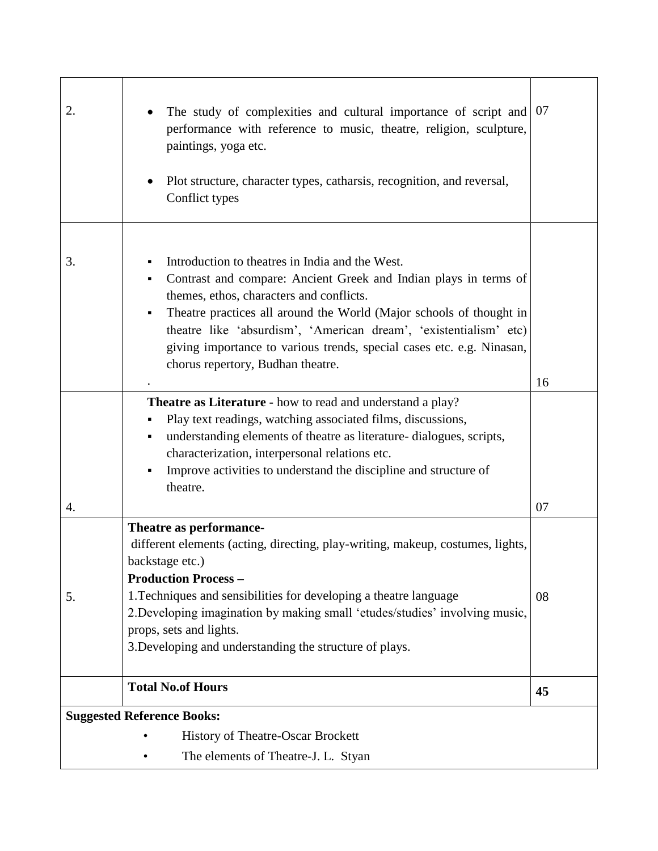| 2.                                | The study of complexities and cultural importance of script and<br>performance with reference to music, theatre, religion, sculpture,<br>paintings, yoga etc.<br>Plot structure, character types, catharsis, recognition, and reversal,<br>Conflict types                                                                                                                                                                           | 07 |  |  |  |
|-----------------------------------|-------------------------------------------------------------------------------------------------------------------------------------------------------------------------------------------------------------------------------------------------------------------------------------------------------------------------------------------------------------------------------------------------------------------------------------|----|--|--|--|
|                                   |                                                                                                                                                                                                                                                                                                                                                                                                                                     |    |  |  |  |
| 3.                                | Introduction to theatres in India and the West.<br>Contrast and compare: Ancient Greek and Indian plays in terms of<br>Ξ<br>themes, ethos, characters and conflicts.<br>Theatre practices all around the World (Major schools of thought in<br>Ξ<br>theatre like 'absurdism', 'American dream', 'existentialism' etc)<br>giving importance to various trends, special cases etc. e.g. Ninasan,<br>chorus repertory, Budhan theatre. | 16 |  |  |  |
|                                   | <b>Theatre as Literature - how to read and understand a play?</b><br>Play text readings, watching associated films, discussions,<br>understanding elements of theatre as literature-dialogues, scripts,<br>٠<br>characterization, interpersonal relations etc.<br>Improve activities to understand the discipline and structure of<br>П<br>theatre.                                                                                 |    |  |  |  |
| 4.                                |                                                                                                                                                                                                                                                                                                                                                                                                                                     | 07 |  |  |  |
| 5.                                | Theatre as performance-<br>different elements (acting, directing, play-writing, makeup, costumes, lights,<br>backstage etc.)<br><b>Production Process -</b><br>1. Techniques and sensibilities for developing a theatre language<br>2. Developing imagination by making small 'etudes/studies' involving music,<br>props, sets and lights.<br>3. Developing and understanding the structure of plays.                               | 08 |  |  |  |
|                                   | <b>Total No.of Hours</b>                                                                                                                                                                                                                                                                                                                                                                                                            | 45 |  |  |  |
| <b>Suggested Reference Books:</b> |                                                                                                                                                                                                                                                                                                                                                                                                                                     |    |  |  |  |
|                                   | <b>History of Theatre-Oscar Brockett</b>                                                                                                                                                                                                                                                                                                                                                                                            |    |  |  |  |
|                                   | The elements of Theatre-J. L. Styan                                                                                                                                                                                                                                                                                                                                                                                                 |    |  |  |  |